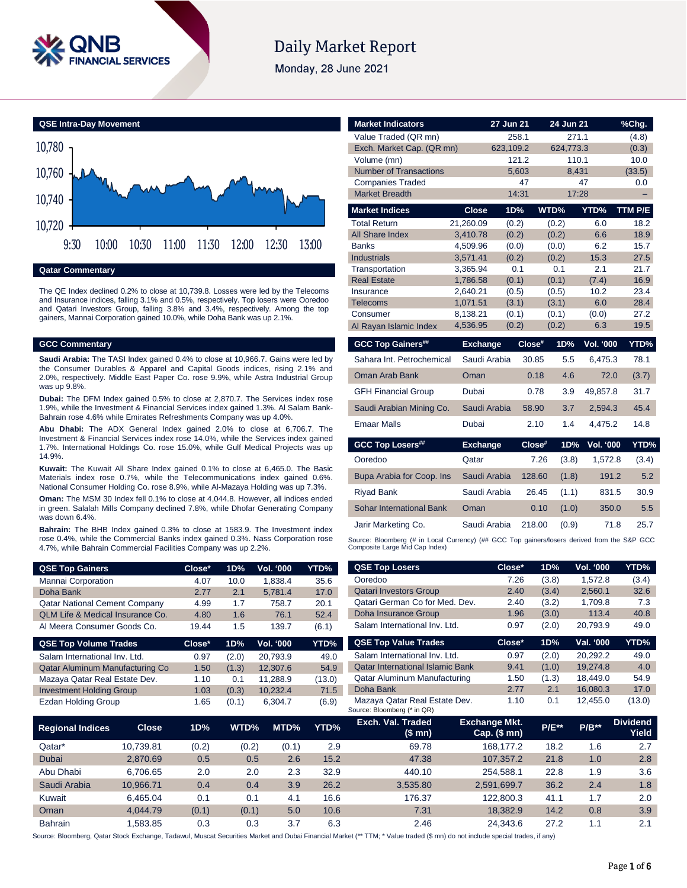

# **Daily Market Report**

Monday, 28 June 2021



**Qatar Commentary**

The QE Index declined 0.2% to close at 10,739.8. Losses were led by the Telecoms and Insurance indices, falling 3.1% and 0.5%, respectively. Top losers were Ooredoo and Qatari Investors Group, falling 3.8% and 3.4%, respectively. Among the top gainers, Mannai Corporation gained 10.0%, while Doha Bank was up 2.1%.

# **GCC Commentary**

**Saudi Arabia:** The TASI Index gained 0.4% to close at 10,966.7. Gains were led by the Consumer Durables & Apparel and Capital Goods indices, rising 2.1% and 2.0%, respectively. Middle East Paper Co. rose 9.9%, while Astra Industrial Group was up 9.8%.

**Dubai:** The DFM Index gained 0.5% to close at 2,870.7. The Services index rose 1.9%, while the Investment & Financial Services index gained 1.3%. Al Salam Bank-Bahrain rose 4.6% while Emirates Refreshments Company was up 4.0%.

**Abu Dhabi:** The ADX General Index gained 2.0% to close at 6,706.7. The Investment & Financial Services index rose 14.0%, while the Services index gained 1.7%. International Holdings Co. rose 15.0%, while Gulf Medical Projects was up 14.9%.

**Kuwait:** The Kuwait All Share Index gained 0.1% to close at 6,465.0. The Basic Materials index rose 0.7%, while the Telecommunications index gained 0.6%. National Consumer Holding Co. rose 8.9%, while Al-Mazaya Holding was up 7.3%.

**Oman:** The MSM 30 Index fell 0.1% to close at 4,044.8. However, all indices ended in green. Salalah Mills Company declined 7.8%, while Dhofar Generating Company was down 6.4%.

**Bahrain:** The BHB Index gained 0.3% to close at 1583.9. The Investment index rose 0.4%, while the Commercial Banks index gained 0.3%. Nass Corporation rose 4.7%, while Bahrain Commercial Facilities Company was up 2.2%.

| <b>QSE Top Gainers</b>               | Close* | 1D%  | Vol. '000 | YTD%  |
|--------------------------------------|--------|------|-----------|-------|
| Mannai Corporation                   | 4.07   | 10.0 | 1.838.4   | 35.6  |
| Doha Bank                            | 2.77   | 2.1  | 5.781.4   | 17.0  |
| <b>Qatar National Cement Company</b> | 4.99   | 1.7  | 758.7     | 20.1  |
| QLM Life & Medical Insurance Co.     | 4.80   | 1.6  | 76.1      | 52.4  |
| Al Meera Consumer Goods Co.          | 19.44  | 1.5  | 139.7     | (6.1) |

| Close* | 1D%   | <b>Vol. '000</b> | YTD%   |
|--------|-------|------------------|--------|
| 0.97   | (2.0) | 20.793.9         | 49.0   |
| 1.50   | (1.3) | 12.307.6         | 54.9   |
| 1.10   | 0.1   | 11.288.9         | (13.0) |
| 1.03   | (0.3) | 10.232.4         | 71.5   |
| 1.65   | (0.1) | 6,304.7          | (6.9)  |
|        |       |                  |        |

| <b>Market Indicators</b>                                                                                                      |                      | 27 Jun 21 |        | 24 Jun 21    |                  | %Chg.        |
|-------------------------------------------------------------------------------------------------------------------------------|----------------------|-----------|--------|--------------|------------------|--------------|
| Value Traded (QR mn)                                                                                                          |                      |           | 258.1  | 271.1        |                  | (4.8)        |
| Exch. Market Cap. (QR mn)                                                                                                     |                      | 623.109.2 |        | 624.773.3    |                  | (0.3)        |
| Volume (mn)                                                                                                                   |                      |           | 121.2  | 110.1        |                  | 10.0         |
| <b>Number of Transactions</b>                                                                                                 |                      |           | 5.603  | 8.431        |                  | (33.5)       |
| <b>Companies Traded</b>                                                                                                       |                      |           | 47     |              | 47               | 0.0          |
| <b>Market Breadth</b>                                                                                                         |                      |           | 14:31  | 17:28        |                  |              |
| <b>Market Indices</b>                                                                                                         | <b>Close</b>         | 1D%       |        | WTD%         | YTD%             | TTM P/E      |
| <b>Total Return</b>                                                                                                           | 21,260.09            | (0.2)     |        | (0.2)        | 6.0              | 18.2         |
| <b>All Share Index</b>                                                                                                        | 3.410.78             | (0.2)     |        | (0.2)        | 6.6              | 18.9         |
| <b>Banks</b>                                                                                                                  | 4,509.96             | (0.0)     |        | (0.0)        | 6.2              | 15.7         |
| <b>Industrials</b><br>Transportation                                                                                          | 3,571.41<br>3,365.94 | (0.2)     | 0.1    | (0.2)<br>0.1 | 15.3<br>2.1      | 27.5<br>21.7 |
| <b>Real Estate</b>                                                                                                            | 1,786.58             | (0.1)     |        | (0.1)        | (7.4)            | 16.9         |
| Insurance                                                                                                                     | 2.640.21             | (0.5)     |        | (0.5)        | 10.2             | 23.4         |
| Telecoms                                                                                                                      | 1,071.51             | (3.1)     |        | (3.1)        | 6.0              | 28.4         |
| Consumer                                                                                                                      | 8,138.21             | (0.1)     |        | (0.1)        | (0.0)            | 27.2         |
| Al Rayan Islamic Index                                                                                                        | 4,536.95             | (0.2)     |        | (0.2)        | 6.3              | 19.5         |
| <b>GCC Top Gainers##</b>                                                                                                      | <b>Exchange</b>      |           | Close# | 1D%          | <b>Vol. '000</b> | YTD%         |
| Sahara Int. Petrochemical                                                                                                     | Saudi Arabia         |           | 30.85  | 5.5          | 6,475.3          | 78.1         |
| Oman Arab Bank                                                                                                                | Oman                 |           | 0.18   | 4.6          | 72.0             | (3.7)        |
| <b>GFH Financial Group</b>                                                                                                    | Dubai                |           | 0.78   | 3.9          | 49,857.8         | 31.7         |
| Saudi Arabian Mining Co.                                                                                                      | Saudi Arabia         |           | 58.90  | 3.7          | 2,594.3          | 45.4         |
| <b>Emaar Malls</b>                                                                                                            | Dubai                |           | 2.10   | 1.4          | 4,475.2          | 14.8         |
| <b>GCC Top Losers##</b>                                                                                                       | <b>Exchange</b>      |           | Close# | 1D%          | <b>Vol. '000</b> | YTD%         |
| Ooredoo                                                                                                                       | Qatar                |           | 7.26   | (3.8)        | 1,572.8          | (3.4)        |
| Bupa Arabia for Coop. Ins                                                                                                     | Saudi Arabia         |           | 128.60 | (1.8)        | 191.2            | 5.2          |
| <b>Riyad Bank</b>                                                                                                             | Saudi Arabia         |           | 26.45  | (1.1)        | 831.5            | 30.9         |
| Sohar International Bank                                                                                                      | Oman                 |           | 0.10   | (1.0)        | 350.0            | 5.5          |
| Jarir Marketing Co.                                                                                                           | Saudi Arabia         |           | 218.00 | (0.9)        | 71.8             | 25.7         |
| Source: Bloomberg (# in Local Currency) (## GCC Top gainers/losers derived from the S&P GCC<br>Composite Large Mid Cap Index) |                      |           |        |              |                  |              |

| <b>QSE Top Losers</b>                   | Close* | 1D%   | <b>Vol. '000</b> | YTD%  |
|-----------------------------------------|--------|-------|------------------|-------|
| Ooredoo                                 | 7.26   | (3.8) | 1,572.8          | (3.4) |
| <b>Qatari Investors Group</b>           | 2.40   | (3.4) | 2,560.1          | 32.6  |
| Qatari German Co for Med. Dev.          | 2.40   | (3.2) | 1,709.8          | 7.3   |
| Doha Insurance Group                    | 1.96   | (3.0) | 113.4            | 40.8  |
| Salam International Inv. Ltd.           | 0.97   | (2.0) | 20.793.9         | 49.0  |
|                                         |        |       |                  |       |
| <b>QSE Top Value Trades</b>             | Close* | 1D%   | Val. '000        | YTD%  |
| Salam International Inv. Ltd.           | 0.97   | (2.0) | 20.292.2         | 49.0  |
| <b>Qatar International Islamic Bank</b> | 9.41   | (1.0) | 19.274.8         | 4.0   |
| <b>Qatar Aluminum Manufacturing</b>     | 1.50   | (1.3) | 18.449.0         | 54.9  |
| Doha Bank                               | 2.77   | 2.1   | 16.080.3         | 17.0  |

| <b>Regional Indices</b> | <b>Close</b> | 1D%   | WTD%  | MTD%  | YTD% | Exch. Val. Traded<br>(\$ mn) | <b>Exchange Mkt.</b><br>Cap. $($$ mn $)$ | <b>P/E**</b> | $P/B**$ | <b>Dividend</b><br>Yield |
|-------------------------|--------------|-------|-------|-------|------|------------------------------|------------------------------------------|--------------|---------|--------------------------|
| Qatar*                  | 10.739.81    | (0.2) | (0.2) | (0.1) | 2.9  | 69.78                        | 168.177.2                                | 18.2         | 1.6     | 2.7                      |
| Dubai                   | 2.870.69     | 0.5   | 0.5   | 2.6   | 15.2 | 47.38                        | 107.357.2                                | 21.8         | 1.0     | 2.8                      |
| Abu Dhabi               | 6.706.65     | 2.0   | 2.0   | 2.3   | 32.9 | 440.10                       | 254.588.1                                | 22.8         | 1.9     | 3.6                      |
| Saudi Arabia            | 10.966.71    | 0.4   | 0.4   | 3.9   | 26.2 | 3.535.80                     | 2.591.699.7                              | 36.2         | 2.4     | 1.8                      |
| Kuwait                  | 6.465.04     | 0.1   | 0.1   | 4.1   | 16.6 | 176.37                       | 122.800.3                                | 41.1         | 1.7     | 2.0                      |
| Oman                    | 4.044.79     | (0.1) | (0.1) | 5.0   | 10.6 | 7.31                         | 18.382.9                                 | 14.2         | 0.8     | 3.9                      |
| <b>Bahrain</b>          | .583.85      | 0.3   | 0.3   | 3.7   | 6.3  | 2.46                         | 24.343.6                                 | 27.2         | 1.1     | 2.1                      |

Source: Bloomberg, Qatar Stock Exchange, Tadawul, Muscat Securities Market and Dubai Financial Market (\*\* TTM; \* Value traded (\$ mn) do not include special trades, if any)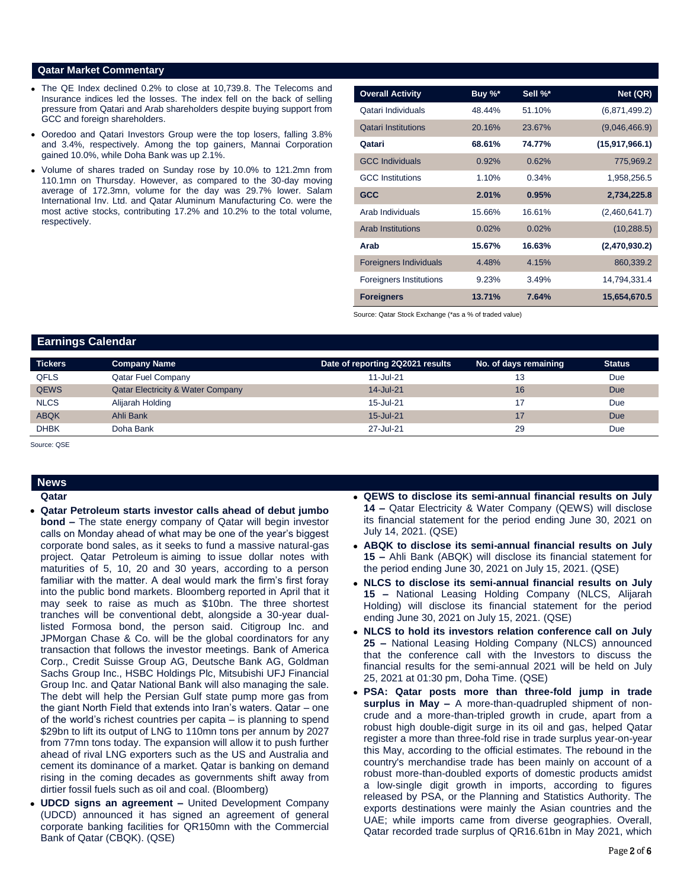## **Qatar Market Commentary**

- The QE Index declined 0.2% to close at 10,739.8. The Telecoms and Insurance indices led the losses. The index fell on the back of selling pressure from Qatari and Arab shareholders despite buying support from GCC and foreign shareholders.
- Ooredoo and Qatari Investors Group were the top losers, falling 3.8% and 3.4%, respectively. Among the top gainers, Mannai Corporation gained 10.0%, while Doha Bank was up 2.1%.
- Volume of shares traded on Sunday rose by 10.0% to 121.2mn from 110.1mn on Thursday. However, as compared to the 30-day moving average of 172.3mn, volume for the day was 29.7% lower. Salam International Inv. Ltd. and Qatar Aluminum Manufacturing Co. were the most active stocks, contributing 17.2% and 10.2% to the total volume, respectively.

| <b>Overall Activity</b>        | Buy %* | Sell %* | Net (QR)         |
|--------------------------------|--------|---------|------------------|
| Qatari Individuals             | 48.44% | 51.10%  | (6,871,499.2)    |
| <b>Qatari Institutions</b>     | 20.16% | 23.67%  | (9,046,466.9)    |
| Qatari                         | 68.61% | 74.77%  | (15, 917, 966.1) |
| <b>GCC Individuals</b>         | 0.92%  | 0.62%   | 775,969.2        |
| <b>GCC</b> Institutions        | 1.10%  | 0.34%   | 1,958,256.5      |
| <b>GCC</b>                     | 2.01%  | 0.95%   | 2,734,225.8      |
| Arab Individuals               | 15.66% | 16.61%  | (2,460,641.7)    |
| <b>Arab Institutions</b>       | 0.02%  | 0.02%   | (10, 288.5)      |
| Arab                           | 15.67% | 16.63%  | (2,470,930.2)    |
| <b>Foreigners Individuals</b>  | 4.48%  | 4.15%   | 860,339.2        |
| <b>Foreigners Institutions</b> | 9.23%  | 3.49%   | 14,794,331.4     |
| <b>Foreigners</b>              | 13.71% | 7.64%   | 15,654,670.5     |

Source: Qatar Stock Exchange (\*as a % of traded value)

# **Earnings Calendar**

| <b>Tickers</b> | <b>Company Name</b>                          | Date of reporting 2Q2021 results | No. of days remaining | <b>Status</b> |
|----------------|----------------------------------------------|----------------------------------|-----------------------|---------------|
| <b>QFLS</b>    | <b>Qatar Fuel Company</b>                    | 11-Jul-21                        | 13                    | Due           |
| <b>QEWS</b>    | <b>Qatar Electricity &amp; Water Company</b> | 14-Jul-21                        | 16                    | Due           |
| <b>NLCS</b>    | Alijarah Holding                             | 15-Jul-21                        | 17                    | Due           |
| <b>ABQK</b>    | Ahli Bank                                    | 15-Jul-21                        | 17                    | Due           |
| <b>DHBK</b>    | Doha Bank                                    | 27-Jul-21                        | 29                    | Due           |

Source: QSE

### **News Qatar**

- **Qatar Petroleum starts investor calls ahead of debut jumbo bond –** The state energy company of Qatar will begin investor calls on Monday ahead of what may be one of the year's biggest corporate bond sales, as it seeks to fund a massive natural-gas project. Qatar Petroleum is aiming to issue dollar notes with maturities of 5, 10, 20 and 30 years, according to a person familiar with the matter. A deal would mark the firm's first foray into the public bond markets. Bloomberg reported in April that it may seek to raise as much as \$10bn. The three shortest tranches will be conventional debt, alongside a 30-year duallisted Formosa bond, the person said. Citigroup Inc. and JPMorgan Chase & Co. will be the global coordinators for any transaction that follows the investor meetings. Bank of America Corp., Credit Suisse Group AG, Deutsche Bank AG, Goldman Sachs Group Inc., HSBC Holdings Plc, Mitsubishi UFJ Financial Group Inc. and Qatar National Bank will also managing the sale. The debt will help the Persian Gulf state pump more gas from the giant North Field that extends into Iran's waters. Qatar – one of the world's richest countries per capita – is planning to spend \$29bn to lift its output of LNG to 110mn tons per annum by 2027 from 77mn tons today. The expansion will allow it to push further ahead of rival LNG exporters such as the US and Australia and cement its dominance of a market. Qatar is banking on demand rising in the coming decades as governments shift away from dirtier fossil fuels such as oil and coal. (Bloomberg)
- **UDCD signs an agreement –** United Development Company (UDCD) announced it has signed an agreement of general corporate banking facilities for QR150mn with the Commercial Bank of Qatar (CBQK). (QSE)
- **QEWS to disclose its semi-annual financial results on July 14 –** Qatar Electricity & Water Company (QEWS) will disclose its financial statement for the period ending June 30, 2021 on July 14, 2021. (QSE)
- **ABQK to disclose its semi-annual financial results on July 15 –** Ahli Bank (ABQK) will disclose its financial statement for the period ending June 30, 2021 on July 15, 2021. (QSE)
- **NLCS to disclose its semi-annual financial results on July 15 –** National Leasing Holding Company (NLCS, Alijarah Holding) will disclose its financial statement for the period ending June 30, 2021 on July 15, 2021. (QSE)
- **NLCS to hold its investors relation conference call on July 25 –** National Leasing Holding Company (NLCS) announced that the conference call with the Investors to discuss the financial results for the semi-annual 2021 will be held on July 25, 2021 at 01:30 pm, Doha Time. (QSE)
- **PSA: Qatar posts more than three-fold jump in trade surplus in May –** A more-than-quadrupled shipment of noncrude and a more-than-tripled growth in crude, apart from a robust high double-digit surge in its oil and gas, helped Qatar register a more than three-fold rise in trade surplus year-on-year this May, according to the official estimates. The rebound in the country's merchandise trade has been mainly on account of a robust more-than-doubled exports of domestic products amidst a low-single digit growth in imports, according to figures released by PSA, or the Planning and Statistics Authority. The exports destinations were mainly the Asian countries and the UAE; while imports came from diverse geographies. Overall, Qatar recorded trade surplus of QR16.61bn in May 2021, which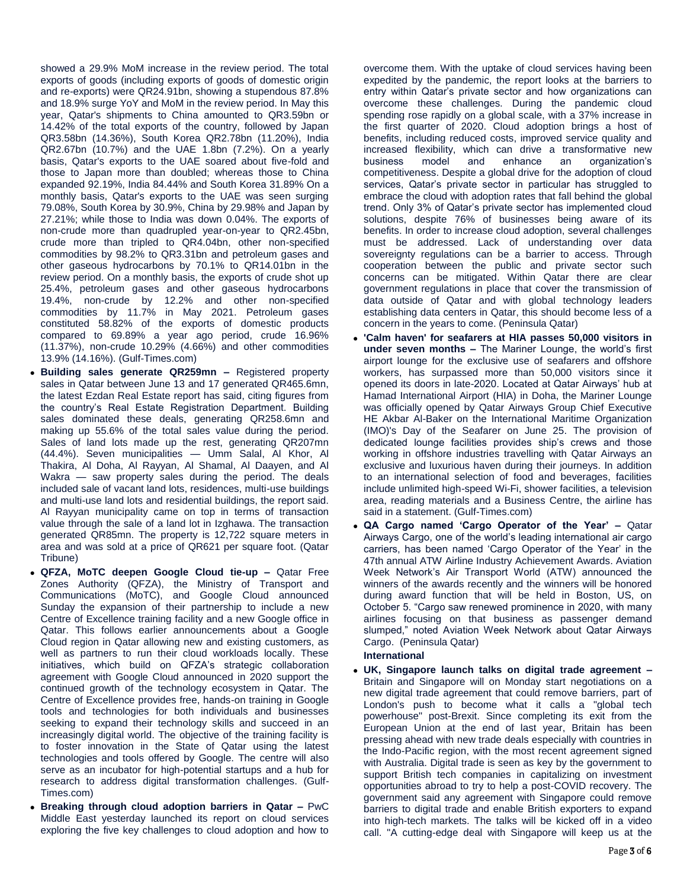showed a 29.9% MoM increase in the review period. The total exports of goods (including exports of goods of domestic origin and re-exports) were QR24.91bn, showing a stupendous 87.8% and 18.9% surge YoY and MoM in the review period. In May this year, Qatar's shipments to China amounted to QR3.59bn or 14.42% of the total exports of the country, followed by Japan QR3.58bn (14.36%), South Korea QR2.78bn (11.20%), India QR2.67bn (10.7%) and the UAE 1.8bn (7.2%). On a yearly basis, Qatar's exports to the UAE soared about five-fold and those to Japan more than doubled; whereas those to China expanded 92.19%, India 84.44% and South Korea 31.89% On a monthly basis, Qatar's exports to the UAE was seen surging 79.08%, South Korea by 30.9%, China by 29.98% and Japan by 27.21%; while those to India was down 0.04%. The exports of non-crude more than quadrupled year-on-year to QR2.45bn, crude more than tripled to QR4.04bn, other non-specified commodities by 98.2% to QR3.31bn and petroleum gases and other gaseous hydrocarbons by 70.1% to QR14.01bn in the review period. On a monthly basis, the exports of crude shot up 25.4%, petroleum gases and other gaseous hydrocarbons 19.4%, non-crude by 12.2% and other non-specified commodities by 11.7% in May 2021. Petroleum gases constituted 58.82% of the exports of domestic products compared to 69.89% a year ago period, crude 16.96% (11.37%), non-crude 10.29% (4.66%) and other commodities 13.9% (14.16%). (Gulf-Times.com)

- **Building sales generate QR259mn –** Registered property sales in Qatar between June 13 and 17 generated QR465.6mn, the latest Ezdan Real Estate report has said, citing figures from the country's Real Estate Registration Department. Building sales dominated these deals, generating QR258.6mn and making up 55.6% of the total sales value during the period. Sales of land lots made up the rest, generating QR207mn (44.4%). Seven municipalities — Umm Salal, Al Khor, Al Thakira, Al Doha, Al Rayyan, Al Shamal, Al Daayen, and Al Wakra — saw property sales during the period. The deals included sale of vacant land lots, residences, multi-use buildings and multi-use land lots and residential buildings, the report said. Al Rayyan municipality came on top in terms of transaction value through the sale of a land lot in Izghawa. The transaction generated QR85mn. The property is 12,722 square meters in area and was sold at a price of QR621 per square foot. (Qatar Tribune)
- **QFZA, MoTC deepen Google Cloud tie-up –** Qatar Free Zones Authority (QFZA), the Ministry of Transport and Communications (MoTC), and Google Cloud announced Sunday the expansion of their partnership to include a new Centre of Excellence training facility and a new Google office in Qatar. This follows earlier announcements about a Google Cloud region in Qatar allowing new and existing customers, as well as partners to run their cloud workloads locally. These initiatives, which build on QFZA's strategic collaboration agreement with Google Cloud announced in 2020 support the continued growth of the technology ecosystem in Qatar. The Centre of Excellence provides free, hands-on training in Google tools and technologies for both individuals and businesses seeking to expand their technology skills and succeed in an increasingly digital world. The objective of the training facility is to foster innovation in the State of Qatar using the latest technologies and tools offered by Google. The centre will also serve as an incubator for high-potential startups and a hub for research to address digital transformation challenges. (Gulf-Times.com)
- **Breaking through cloud adoption barriers in Qatar –** PwC Middle East yesterday launched its report on cloud services exploring the five key challenges to cloud adoption and how to

overcome them. With the uptake of cloud services having been expedited by the pandemic, the report looks at the barriers to entry within Qatar's private sector and how organizations can overcome these challenges. During the pandemic cloud spending rose rapidly on a global scale, with a 37% increase in the first quarter of 2020. Cloud adoption brings a host of benefits, including reduced costs, improved service quality and increased flexibility, which can drive a transformative new business model and enhance an organization's competitiveness. Despite a global drive for the adoption of cloud services, Qatar's private sector in particular has struggled to embrace the cloud with adoption rates that fall behind the global trend. Only 3% of Qatar's private sector has implemented cloud solutions, despite 76% of businesses being aware of its benefits. In order to increase cloud adoption, several challenges must be addressed. Lack of understanding over data sovereignty regulations can be a barrier to access. Through cooperation between the public and private sector such concerns can be mitigated. Within Qatar there are clear government regulations in place that cover the transmission of data outside of Qatar and with global technology leaders establishing data centers in Qatar, this should become less of a concern in the years to come. (Peninsula Qatar)

- **'Calm haven' for seafarers at HIA passes 50,000 visitors in under seven months –** The Mariner Lounge, the world's first airport lounge for the exclusive use of seafarers and offshore workers, has surpassed more than 50,000 visitors since it opened its doors in late-2020. Located at Qatar Airways' hub at Hamad International Airport (HIA) in Doha, the Mariner Lounge was officially opened by Qatar Airways Group Chief Executive HE Akbar Al-Baker on the International Maritime Organization (IMO)'s Day of the Seafarer on June 25. The provision of dedicated lounge facilities provides ship's crews and those working in offshore industries travelling with Qatar Airways an exclusive and luxurious haven during their journeys. In addition to an international selection of food and beverages, facilities include unlimited high-speed Wi-Fi, shower facilities, a television area, reading materials and a Business Centre, the airline has said in a statement. (Gulf-Times.com)
- **QA Cargo named 'Cargo Operator of the Year' –** Qatar Airways Cargo, one of the world's leading international air cargo carriers, has been named 'Cargo Operator of the Year' in the 47th annual ATW Airline Industry Achievement Awards. Aviation Week Network's Air Transport World (ATW) announced the winners of the awards recently and the winners will be honored during award function that will be held in Boston, US, on October 5. "Cargo saw renewed prominence in 2020, with many airlines focusing on that business as passenger demand slumped," noted Aviation Week Network about Qatar Airways Cargo. (Peninsula Qatar)

# **International**

 **UK, Singapore launch talks on digital trade agreement –** Britain and Singapore will on Monday start negotiations on a new digital trade agreement that could remove barriers, part of London's push to become what it calls a "global tech powerhouse" post-Brexit. Since completing its exit from the European Union at the end of last year, Britain has been pressing ahead with new trade deals especially with countries in the Indo-Pacific region, with the most recent agreement signed with Australia. Digital trade is seen as key by the government to support British tech companies in capitalizing on investment opportunities abroad to try to help a post-COVID recovery. The government said any agreement with Singapore could remove barriers to digital trade and enable British exporters to expand into high-tech markets. The talks will be kicked off in a video call. "A cutting-edge deal with Singapore will keep us at the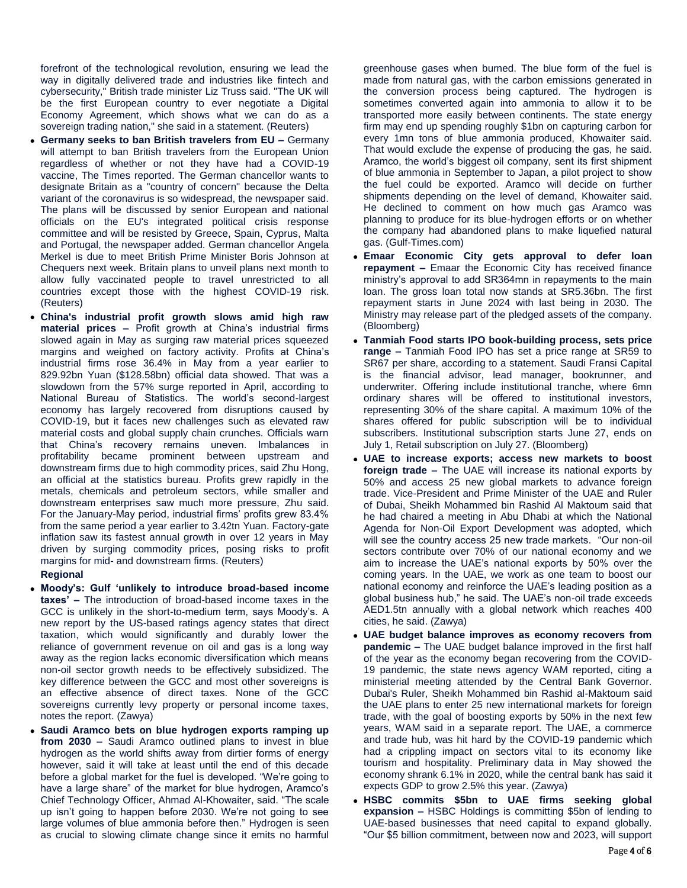forefront of the technological revolution, ensuring we lead the way in digitally delivered trade and industries like fintech and cybersecurity," British trade minister Liz Truss said. "The UK will be the first European country to ever negotiate a Digital Economy Agreement, which shows what we can do as a sovereign trading nation," she said in a statement. (Reuters)

- **Germany seeks to ban British travelers from EU –** Germany will attempt to ban British travelers from the European Union regardless of whether or not they have had a COVID-19 vaccine, The Times reported. The German chancellor wants to designate Britain as a "country of concern" because the Delta variant of the coronavirus is so widespread, the newspaper said. The plans will be discussed by senior European and national officials on the EU's integrated political crisis response committee and will be resisted by Greece, Spain, Cyprus, Malta and Portugal, the newspaper added. German chancellor Angela Merkel is due to meet British Prime Minister Boris Johnson at Chequers next week. Britain plans to unveil plans next month to allow fully vaccinated people to travel unrestricted to all countries except those with the highest COVID-19 risk. (Reuters)
- **China's industrial profit growth slows amid high raw material prices –** Profit growth at China's industrial firms slowed again in May as surging raw material prices squeezed margins and weighed on factory activity. Profits at China's industrial firms rose 36.4% in May from a year earlier to 829.92bn Yuan (\$128.58bn) official data showed. That was a slowdown from the 57% surge reported in April, according to National Bureau of Statistics. The world's second-largest economy has largely recovered from disruptions caused by COVID-19, but it faces new challenges such as elevated raw material costs and global supply chain crunches. Officials warn that China's recovery remains uneven. Imbalances in profitability became prominent between upstream and downstream firms due to high commodity prices, said Zhu Hong, an official at the statistics bureau. Profits grew rapidly in the metals, chemicals and petroleum sectors, while smaller and downstream enterprises saw much more pressure, Zhu said. For the January-May period, industrial firms' profits grew 83.4% from the same period a year earlier to 3.42tn Yuan. Factory-gate inflation saw its fastest annual growth in over 12 years in May driven by surging commodity prices, posing risks to profit margins for mid- and downstream firms. (Reuters) **Regional**
- **Moody's: Gulf 'unlikely to introduce broad-based income taxes' –** The introduction of broad-based income taxes in the GCC is unlikely in the short-to-medium term, says Moody's. A new report by the US-based ratings agency states that direct taxation, which would significantly and durably lower the reliance of government revenue on oil and gas is a long way away as the region lacks economic diversification which means non-oil sector growth needs to be effectively subsidized. The key difference between the GCC and most other sovereigns is an effective absence of direct taxes. None of the GCC sovereigns currently levy property or personal income taxes, notes the report. (Zawya)
- **Saudi Aramco bets on blue hydrogen exports ramping up from 2030 –** Saudi Aramco outlined plans to invest in blue hydrogen as the world shifts away from dirtier forms of energy however, said it will take at least until the end of this decade before a global market for the fuel is developed. "We're going to have a large share" of the market for blue hydrogen, Aramco's Chief Technology Officer, Ahmad Al-Khowaiter, said. "The scale up isn't going to happen before 2030. We're not going to see large volumes of blue ammonia before then." Hydrogen is seen as crucial to slowing climate change since it emits no harmful

greenhouse gases when burned. The blue form of the fuel is made from natural gas, with the carbon emissions generated in the conversion process being captured. The hydrogen is sometimes converted again into ammonia to allow it to be transported more easily between continents. The state energy firm may end up spending roughly \$1bn on capturing carbon for every 1mn tons of blue ammonia produced, Khowaiter said. That would exclude the expense of producing the gas, he said. Aramco, the world's biggest oil company, sent its first shipment of blue ammonia in September to Japan, a pilot project to show the fuel could be exported. Aramco will decide on further shipments depending on the level of demand, Khowaiter said. He declined to comment on how much gas Aramco was planning to produce for its blue-hydrogen efforts or on whether the company had abandoned plans to make liquefied natural gas. (Gulf-Times.com)

- **Emaar Economic City gets approval to defer loan repayment –** Emaar the Economic City has received finance ministry's approval to add SR364mn in repayments to the main loan. The gross loan total now stands at SR5.36bn. The first repayment starts in June 2024 with last being in 2030. The Ministry may release part of the pledged assets of the company. (Bloomberg)
- **Tanmiah Food starts IPO book-building process, sets price range –** Tanmiah Food IPO has set a price range at SR59 to SR67 per share, according to a statement. Saudi Fransi Capital is the financial advisor, lead manager, bookrunner, and underwriter. Offering include institutional tranche, where 6mn ordinary shares will be offered to institutional investors, representing 30% of the share capital. A maximum 10% of the shares offered for public subscription will be to individual subscribers. Institutional subscription starts June 27, ends on July 1, Retail subscription on July 27. (Bloomberg)
- **UAE to increase exports; access new markets to boost foreign trade –** The UAE will increase its national exports by 50% and access 25 new global markets to advance foreign trade. Vice-President and Prime Minister of the UAE and Ruler of Dubai, Sheikh Mohammed bin Rashid Al Maktoum said that he had chaired a meeting in Abu Dhabi at which the National Agenda for Non-Oil Export Development was adopted, which will see the country access 25 new trade markets. "Our non-oil sectors contribute over 70% of our national economy and we aim to increase the UAE's national exports by 50% over the coming years. In the UAE, we work as one team to boost our national economy and reinforce the UAE's leading position as a global business hub," he said. The UAE's non-oil trade exceeds AED1.5tn annually with a global network which reaches 400 cities, he said. (Zawya)
- **UAE budget balance improves as economy recovers from pandemic –** The UAE budget balance improved in the first half of the year as the economy began recovering from the COVID-19 pandemic, the state news agency WAM reported, citing a ministerial meeting attended by the Central Bank Governor. Dubai's Ruler, Sheikh Mohammed bin Rashid al-Maktoum said the UAE plans to enter 25 new international markets for foreign trade, with the goal of boosting exports by 50% in the next few years, WAM said in a separate report. The UAE, a commerce and trade hub, was hit hard by the COVID-19 pandemic which had a crippling impact on sectors vital to its economy like tourism and hospitality. Preliminary data in May showed the economy shrank 6.1% in 2020, while the central bank has said it expects GDP to grow 2.5% this year. (Zawya)
- **HSBC commits \$5bn to UAE firms seeking global expansion –** HSBC Holdings is committing \$5bn of lending to UAE-based businesses that need capital to expand globally. "Our \$5 billion commitment, between now and 2023, will support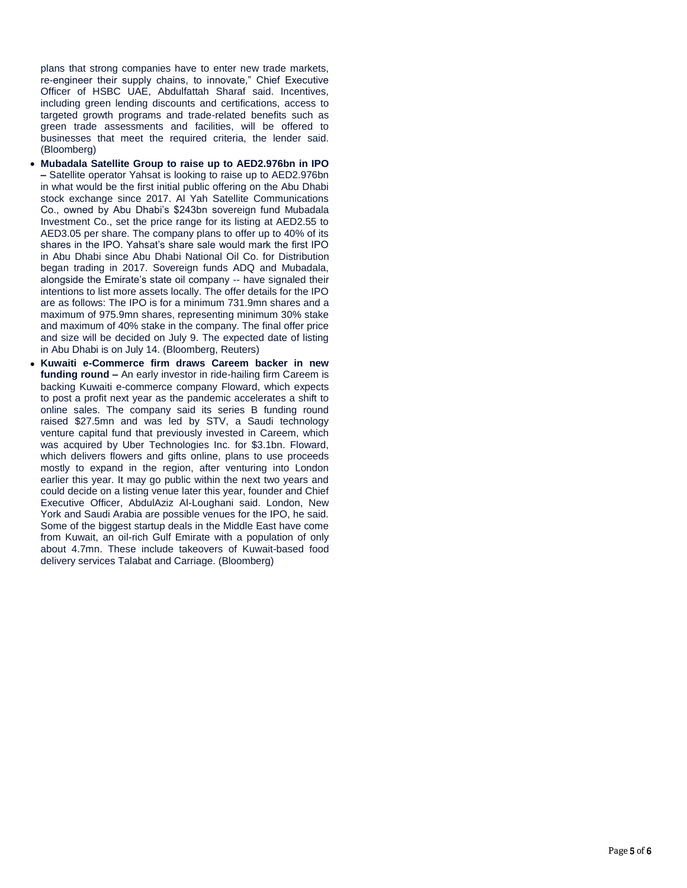plans that strong companies have to enter new trade markets, re-engineer their supply chains, to innovate," Chief Executive Officer of HSBC UAE, Abdulfattah Sharaf said. Incentives, including green lending discounts and certifications, access to targeted growth programs and trade-related benefits such as green trade assessments and facilities, will be offered to businesses that meet the required criteria, the lender said. (Bloomberg)

- **Mubadala Satellite Group to raise up to AED2.976bn in IPO –** Satellite operator Yahsat is looking to raise up to AED2.976bn in what would be the first initial public offering on the Abu Dhabi stock exchange since 2017. Al Yah Satellite Communications Co., owned by Abu Dhabi's \$243bn sovereign fund Mubadala Investment Co., set the price range for its listing at AED2.55 to AED3.05 per share. The company plans to offer up to 40% of its shares in the IPO. Yahsat's share sale would mark the first IPO in Abu Dhabi since Abu Dhabi National Oil Co. for Distribution began trading in 2017. Sovereign funds ADQ and Mubadala, alongside the Emirate's state oil company -- have signaled their intentions to list more assets locally. The offer details for the IPO are as follows: The IPO is for a minimum 731.9mn shares and a maximum of 975.9mn shares, representing minimum 30% stake and maximum of 40% stake in the company. The final offer price and size will be decided on July 9. The expected date of listing in Abu Dhabi is on July 14. (Bloomberg, Reuters)
- **Kuwaiti e-Commerce firm draws Careem backer in new funding round –** An early investor in ride-hailing firm Careem is backing Kuwaiti e-commerce company Floward, which expects to post a profit next year as the pandemic accelerates a shift to online sales. The company said its series B funding round raised \$27.5mn and was led by STV, a Saudi technology venture capital fund that previously invested in Careem, which was acquired by Uber Technologies Inc. for \$3.1bn. Floward, which delivers flowers and gifts online, plans to use proceeds mostly to expand in the region, after venturing into London earlier this year. It may go public within the next two years and could decide on a listing venue later this year, founder and Chief Executive Officer, AbdulAziz Al-Loughani said. London, New York and Saudi Arabia are possible venues for the IPO, he said. Some of the biggest startup deals in the Middle East have come from Kuwait, an oil-rich Gulf Emirate with a population of only about 4.7mn. These include takeovers of Kuwait-based food delivery services Talabat and Carriage. (Bloomberg)